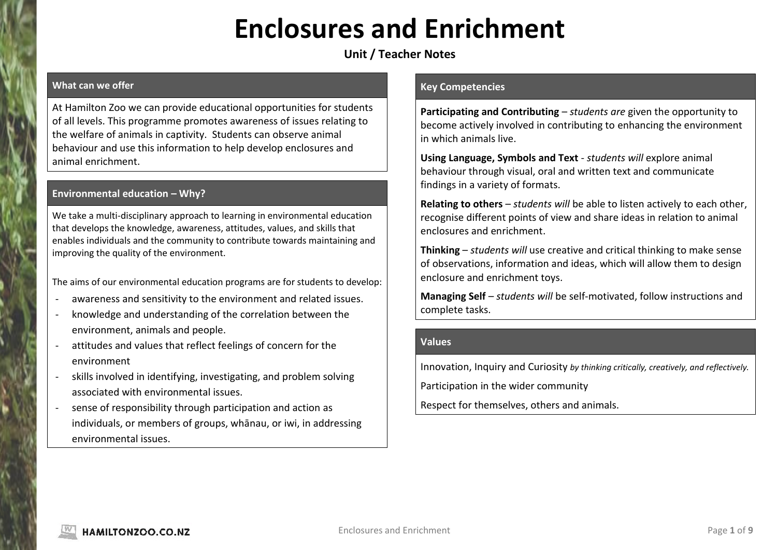# **Enclosures and Enrichment**

# **Unit / Teacher Notes**

# **What can we offer**

At Hamilton Zoo we can provide educational opportunities for students of all levels. This programme promotes awareness of issues relating to the welfare of animals in captivity. Students can observe animal behaviour and use this information to help develop enclosures and animal enrichment.

# **Environmental education – Why?**

We take a multi-disciplinary approach to learning in environmental education that develops the knowledge, awareness, attitudes, values, and skills that enables individuals and the community to contribute towards maintaining and improving the quality of the environment.

The aims of our environmental education programs are for students to develop:

- awareness and sensitivity to the environment and related issues.
- knowledge and understanding of the correlation between the environment, animals and people.
- attitudes and values that reflect feelings of concern for the environment
- skills involved in identifying, investigating, and problem solving associated with environmental issues.
- sense of responsibility through participation and action as individuals, or members of groups, whānau, or iwi, in addressing environmental issues.

#### **Key Competencies**

**Participating and Contributing** – *students are* given the opportunity to become actively involved in contributing to enhancing the environment in which animals live.

**Using Language, Symbols and Text** - *students will* explore animal behaviour through visual, oral and written text and communicate findings in a variety of formats.

**Relating to others** – *students will* be able to listen actively to each other, recognise different points of view and share ideas in relation to animal enclosures and enrichment.

**Thinking** – *students will* use creative and critical thinking to make sense of observations, information and ideas, which will allow them to design enclosure and enrichment toys.

**Managing Self** – *students will* be self-motivated, follow instructions and complete tasks.

#### **Values**

Innovation, Inquiry and Curiosity *by thinking critically, creatively, and reflectively.*

Participation in the wider community

Respect for themselves, others and animals.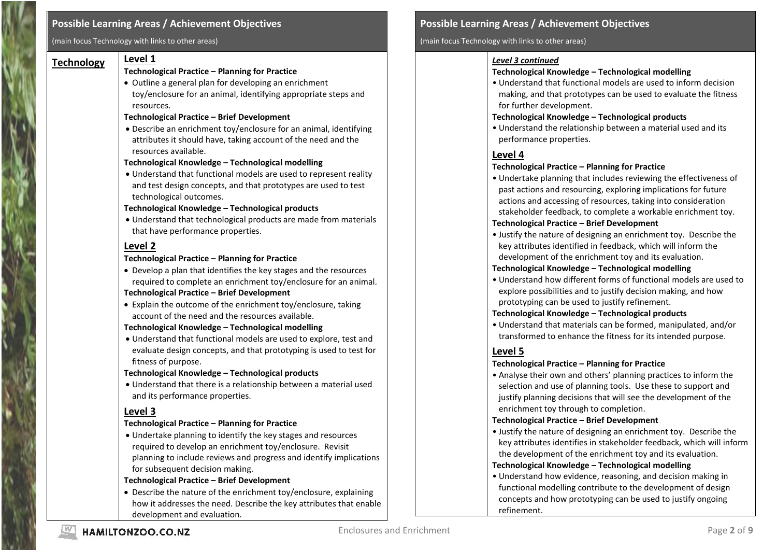#### **Possible Learning Areas / Achievement Objectives**

(main focus Technology with links to other areas)

# **Technology Level 1**

#### **Technological Practice – Planning for Practice**

 Outline a general plan for developing an enrichment toy/enclosure for an animal, identifying appropriate steps and resources.

#### **Technological Practice – Brief Development**

 Describe an enrichment toy/enclosure for an animal, identifying attributes it should have, taking account of the need and the resources available.

#### **Technological Knowledge – Technological modelling**

 Understand that functional models are used to represent reality and test design concepts, and that prototypes are used to test technological outcomes.

#### **Technological Knowledge – Technological products**

 Understand that technological products are made from materials that have performance properties.

# **Level 2**

#### **Technological Practice – Planning for Practice**

 Develop a plan that identifies the key stages and the resources required to complete an enrichment toy/enclosure for an animal.

#### **Technological Practice – Brief Development**

 Explain the outcome of the enrichment toy/enclosure, taking account of the need and the resources available.

#### **Technological Knowledge – Technological modelling**

 Understand that functional models are used to explore, test and evaluate design concepts, and that prototyping is used to test for fitness of purpose.

#### **Technological Knowledge – Technological products**

 Understand that there is a relationship between a material used and its performance properties.

# **Level 3**

#### **Technological Practice – Planning for Practice**

 Undertake planning to identify the key stages and resources required to develop an enrichment toy/enclosure. Revisit planning to include reviews and progress and identify implications for subsequent decision making.

#### **Technological Practice – Brief Development**

 Describe the nature of the enrichment toy/enclosure, explaining how it addresses the need. Describe the key attributes that enable development and evaluation.

# **Possible Learning Areas / Achievement Objectives**

#### (main focus Technology with links to other areas)

#### *Level 3 continued*

# **Technological Knowledge – Technological modelling**

• Understand that functional models are used to inform decision making, and that prototypes can be used to evaluate the fitness for further development.

#### **Technological Knowledge – Technological products**

• Understand the relationship between a material used and its performance properties.

# **Level 4**

# **Technological Practice – Planning for Practice**

• Undertake planning that includes reviewing the effectiveness of past actions and resourcing, exploring implications for future actions and accessing of resources, taking into consideration stakeholder feedback, to complete a workable enrichment toy.

# **Technological Practice – Brief Development**

• Justify the nature of designing an enrichment toy. Describe the key attributes identified in feedback, which will inform the development of the enrichment toy and its evaluation.

# **Technological Knowledge – Technological modelling**

• Understand how different forms of functional models are used to explore possibilities and to justify decision making, and how prototyping can be used to justify refinement.

# **Technological Knowledge – Technological products**

• Understand that materials can be formed, manipulated, and/or transformed to enhance the fitness for its intended purpose.

# **Level 5**

# **Technological Practice – Planning for Practice**

• Analyse their own and others' planning practices to inform the selection and use of planning tools. Use these to support and justify planning decisions that will see the development of the enrichment toy through to completion.

# **Technological Practice – Brief Development**

• Justify the nature of designing an enrichment toy. Describe the key attributes identifies in stakeholder feedback, which will inform the development of the enrichment toy and its evaluation.

# **Technological Knowledge – Technological modelling**

• Understand how evidence, reasoning, and decision making in functional modelling contribute to the development of design concepts and how prototyping can be used to justify ongoing refinement.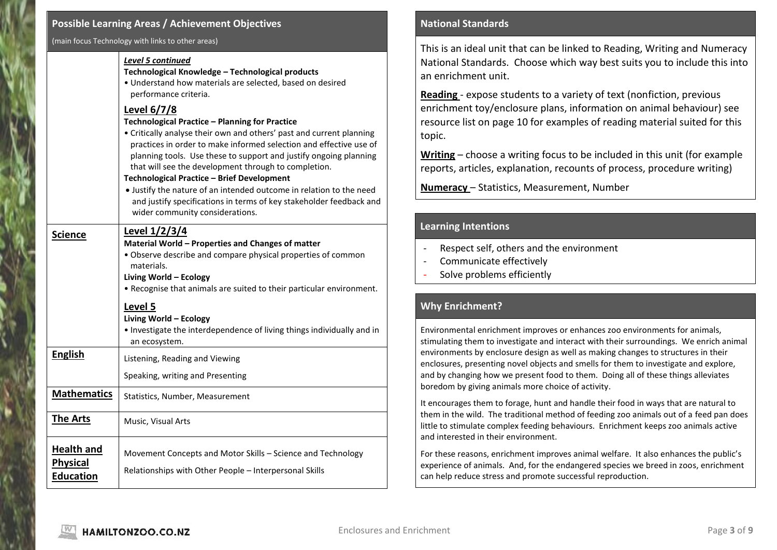#### **Possible Learning Areas / Achievement Objectives**

(main focus Technology with links to other areas)

#### *Level 5 continued*

**Technological Knowledge – Technological products**

• Understand how materials are selected, based on desired performance criteria.

# **Level 6/7/8**

#### **Technological Practice – Planning for Practice**

• Critically analyse their own and others' past and current planning practices in order to make informed selection and effective use of planning tools. Use these to support and justify ongoing planning that will see the development through to completion.

#### **Technological Practice – Brief Development**

 Justify the nature of an intended outcome in relation to the need and justify specifications in terms of key stakeholder feedback and wider community considerations.

# Science Level 1/2/3/4 **Material World – Properties and Changes of matter** • Observe describe and compare physical properties of common materials. **Living World – Ecology** • Recognise that animals are suited to their particular environment. **Level 5 Living World – Ecology** • Investigate the interdependence of living things individually and in an ecosystem. **English Listening, Reading and Viewing** Speaking, writing and Presenting **Mathematics** | Statistics, Number, Measurement **The Arts** | Music, Visual Arts **Health and Physical Education** Movement Concepts and Motor Skills – Science and Technology Relationships with Other People – Interpersonal Skills

#### **National Standards**

This is an ideal unit that can be linked to Reading, Writing and Numeracy National Standards. Choose which way best suits you to include this into an enrichment unit.

**Reading** - expose students to a variety of text (nonfiction, previous enrichment toy/enclosure plans, information on animal behaviour) see resource list on page 10 for examples of reading material suited for this topic.

**Writing** – choose a writing focus to be included in this unit (for example reports, articles, explanation, recounts of process, procedure writing)

**Numeracy** – Statistics, Measurement, Number

# **Learning Intentions**

- Respect self, others and the environment
- Communicate effectively
- Solve problems efficiently

# **Why Enrichment?**

Environmental enrichment improves or enhances zoo environments for animals, stimulating them to investigate and interact with their surroundings. We enrich animal environments by enclosure design as well as making changes to structures in their enclosures, presenting novel objects and smells for them to investigate and explore, and by changing how we present food to them. Doing all of these things alleviates boredom by giving animals more choice of activity.

It encourages them to forage, hunt and handle their food in ways that are natural to them in the wild. The traditional method of feeding zoo animals out of a feed pan does little to stimulate complex feeding behaviours. Enrichment keeps zoo animals active and interested in their environment.

For these reasons, enrichment improves animal welfare. It also enhances the public's experience of animals. And, for the endangered species we breed in zoos, enrichment can help reduce stress and promote successful reproduction.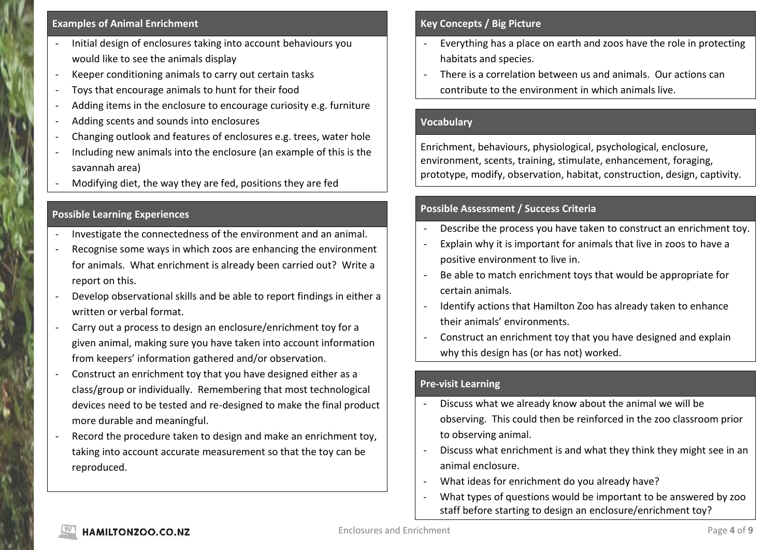#### **Examples of Animal Enrichment**

- Initial design of enclosures taking into account behaviours you would like to see the animals display
- Keeper conditioning animals to carry out certain tasks
- Toys that encourage animals to hunt for their food
- Adding items in the enclosure to encourage curiosity e.g. furniture
- Adding scents and sounds into enclosures
- Changing outlook and features of enclosures e.g. trees, water hole
- Including new animals into the enclosure (an example of this is the savannah area)
- Modifying diet, the way they are fed, positions they are fed

# **Possible Learning Experiences**

- Investigate the connectedness of the environment and an animal.
- Recognise some ways in which zoos are enhancing the environment for animals. What enrichment is already been carried out? Write a report on this.
- Develop observational skills and be able to report findings in either a written or verbal format.
- Carry out a process to design an enclosure/enrichment toy for a given animal, making sure you have taken into account information from keepers' information gathered and/or observation.
- Construct an enrichment toy that you have designed either as a class/group or individually. Remembering that most technological devices need to be tested and re-designed to make the final product more durable and meaningful.
- Record the procedure taken to design and make an enrichment toy, taking into account accurate measurement so that the toy can be reproduced.

# **Key Concepts / Big Picture**

- Everything has a place on earth and zoos have the role in protecting habitats and species.
- There is a correlation between us and animals. Our actions can contribute to the environment in which animals live.

# **Vocabulary**

Enrichment, behaviours, physiological, psychological, enclosure, environment, scents, training, stimulate, enhancement, foraging, prototype, modify, observation, habitat, construction, design, captivity.

# **Possible Assessment / Success Criteria**

- Describe the process you have taken to construct an enrichment toy.
- Explain why it is important for animals that live in zoos to have a positive environment to live in.
- Be able to match enrichment toys that would be appropriate for certain animals.
- Identify actions that Hamilton Zoo has already taken to enhance their animals' environments.
- Construct an enrichment toy that you have designed and explain why this design has (or has not) worked.

# **Pre-visit Learning**

- Discuss what we already know about the animal we will be observing. This could then be reinforced in the zoo classroom prior to observing animal.
- Discuss what enrichment is and what they think they might see in an animal enclosure.
- What ideas for enrichment do you already have?
- What types of questions would be important to be answered by zoo staff before starting to design an enclosure/enrichment toy?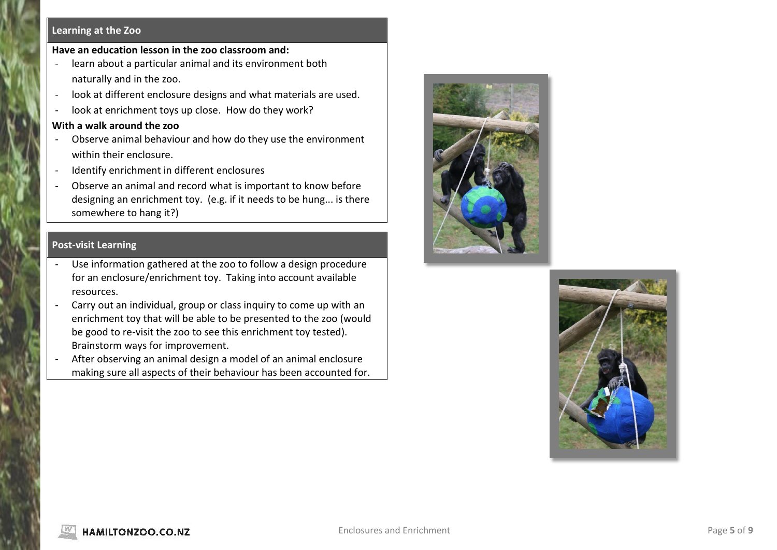#### **Learning at the Zoo**

#### **Have an education lesson in the zoo classroom and:**

- learn about a particular animal and its environment both naturally and in the zoo.
- look at different enclosure designs and what materials are used.
- look at enrichment toys up close. How do they work?

#### **With a walk around the zoo**

- Observe animal behaviour and how do they use the environment within their enclosure.
- Identify enrichment in different enclosures
- Observe an animal and record what is important to know before designing an enrichment toy. (e.g. if it needs to be hung... is there somewhere to hang it?)

# **Post-visit Learning**

- Use information gathered at the zoo to follow a design procedure for an enclosure/enrichment toy. Taking into account available resources.
- Carry out an individual, group or class inquiry to come up with an enrichment toy that will be able to be presented to the zoo (would be good to re-visit the zoo to see this enrichment toy tested). Brainstorm ways for improvement.
- After observing an animal design a model of an animal enclosure making sure all aspects of their behaviour has been accounted for.



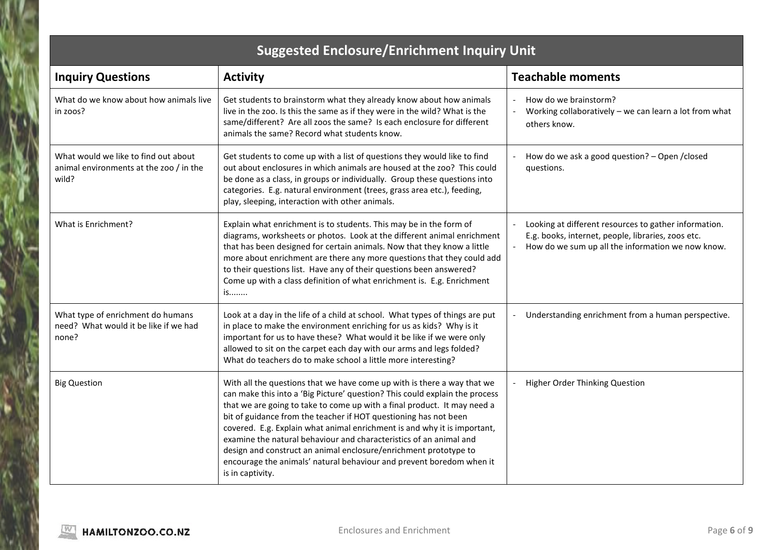| <b>Suggested Enclosure/Enrichment Inquiry Unit</b>                                       |                                                                                                                                                                                                                                                                                                                                                                                                                                                                                                                                                                                                                          |                                                                                                                                                                  |  |
|------------------------------------------------------------------------------------------|--------------------------------------------------------------------------------------------------------------------------------------------------------------------------------------------------------------------------------------------------------------------------------------------------------------------------------------------------------------------------------------------------------------------------------------------------------------------------------------------------------------------------------------------------------------------------------------------------------------------------|------------------------------------------------------------------------------------------------------------------------------------------------------------------|--|
| <b>Inquiry Questions</b>                                                                 | <b>Activity</b>                                                                                                                                                                                                                                                                                                                                                                                                                                                                                                                                                                                                          | <b>Teachable moments</b>                                                                                                                                         |  |
| What do we know about how animals live<br>in zoos?                                       | Get students to brainstorm what they already know about how animals<br>live in the zoo. Is this the same as if they were in the wild? What is the<br>same/different? Are all zoos the same? Is each enclosure for different<br>animals the same? Record what students know.                                                                                                                                                                                                                                                                                                                                              | How do we brainstorm?<br>Working collaboratively $-$ we can learn a lot from what<br>others know.                                                                |  |
| What would we like to find out about<br>animal environments at the zoo / in the<br>wild? | Get students to come up with a list of questions they would like to find<br>out about enclosures in which animals are housed at the zoo? This could<br>be done as a class, in groups or individually. Group these questions into<br>categories. E.g. natural environment (trees, grass area etc.), feeding,<br>play, sleeping, interaction with other animals.                                                                                                                                                                                                                                                           | How do we ask a good question? - Open / closed<br>questions.                                                                                                     |  |
| What is Enrichment?                                                                      | Explain what enrichment is to students. This may be in the form of<br>diagrams, worksheets or photos. Look at the different animal enrichment<br>that has been designed for certain animals. Now that they know a little<br>more about enrichment are there any more questions that they could add<br>to their questions list. Have any of their questions been answered?<br>Come up with a class definition of what enrichment is. E.g. Enrichment<br>is                                                                                                                                                                | Looking at different resources to gather information.<br>E.g. books, internet, people, libraries, zoos etc.<br>How do we sum up all the information we now know. |  |
| What type of enrichment do humans<br>need? What would it be like if we had<br>none?      | Look at a day in the life of a child at school. What types of things are put<br>in place to make the environment enriching for us as kids? Why is it<br>important for us to have these? What would it be like if we were only<br>allowed to sit on the carpet each day with our arms and legs folded?<br>What do teachers do to make school a little more interesting?                                                                                                                                                                                                                                                   | Understanding enrichment from a human perspective.                                                                                                               |  |
| <b>Big Question</b>                                                                      | With all the questions that we have come up with is there a way that we<br>can make this into a 'Big Picture' question? This could explain the process<br>that we are going to take to come up with a final product. It may need a<br>bit of guidance from the teacher if HOT questioning has not been<br>covered. E.g. Explain what animal enrichment is and why it is important,<br>examine the natural behaviour and characteristics of an animal and<br>design and construct an animal enclosure/enrichment prototype to<br>encourage the animals' natural behaviour and prevent boredom when it<br>is in captivity. | Higher Order Thinking Question                                                                                                                                   |  |

۲

b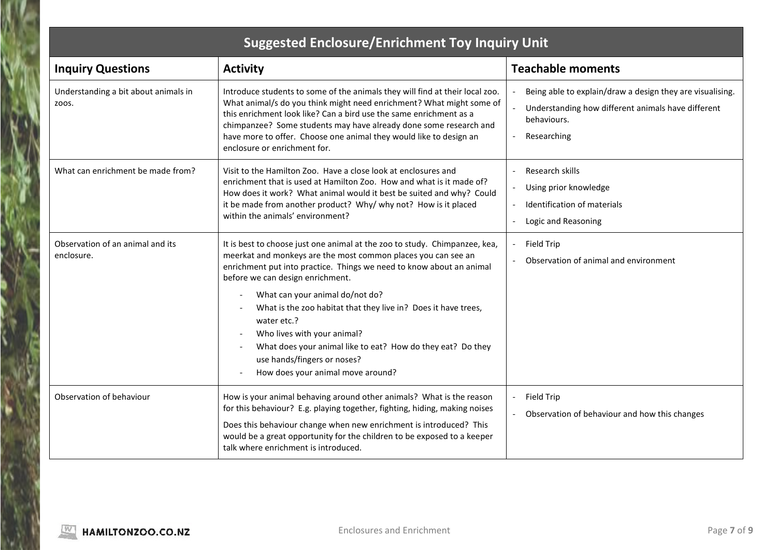# **Suggested Enclosure/Enrichment Toy Inquiry Unit**

| <b>Inquiry Questions</b>                       | <b>Activity</b>                                                                                                                                                                                                                                                                                                                                                                                       | <b>Teachable moments</b>                                                                                                                      |
|------------------------------------------------|-------------------------------------------------------------------------------------------------------------------------------------------------------------------------------------------------------------------------------------------------------------------------------------------------------------------------------------------------------------------------------------------------------|-----------------------------------------------------------------------------------------------------------------------------------------------|
| Understanding a bit about animals in<br>ZOOS.  | Introduce students to some of the animals they will find at their local zoo.<br>What animal/s do you think might need enrichment? What might some of<br>this enrichment look like? Can a bird use the same enrichment as a<br>chimpanzee? Some students may have already done some research and<br>have more to offer. Choose one animal they would like to design an<br>enclosure or enrichment for. | Being able to explain/draw a design they are visualising.<br>Understanding how different animals have different<br>behaviours.<br>Researching |
| What can enrichment be made from?              | Visit to the Hamilton Zoo. Have a close look at enclosures and<br>enrichment that is used at Hamilton Zoo. How and what is it made of?<br>How does it work? What animal would it best be suited and why? Could<br>it be made from another product? Why/ why not? How is it placed<br>within the animals' environment?                                                                                 | Research skills<br>Using prior knowledge<br>Identification of materials<br>Logic and Reasoning                                                |
| Observation of an animal and its<br>enclosure. | It is best to choose just one animal at the zoo to study. Chimpanzee, kea,<br>meerkat and monkeys are the most common places you can see an<br>enrichment put into practice. Things we need to know about an animal<br>before we can design enrichment.                                                                                                                                               | Field Trip<br>Observation of animal and environment                                                                                           |
|                                                | What can your animal do/not do?<br>What is the zoo habitat that they live in? Does it have trees,<br>water etc.?<br>Who lives with your animal?<br>What does your animal like to eat? How do they eat? Do they<br>use hands/fingers or noses?<br>How does your animal move around?                                                                                                                    |                                                                                                                                               |
| Observation of behaviour                       | How is your animal behaving around other animals? What is the reason<br>for this behaviour? E.g. playing together, fighting, hiding, making noises<br>Does this behaviour change when new enrichment is introduced? This<br>would be a great opportunity for the children to be exposed to a keeper<br>talk where enrichment is introduced.                                                           | Field Trip<br>Observation of behaviour and how this changes                                                                                   |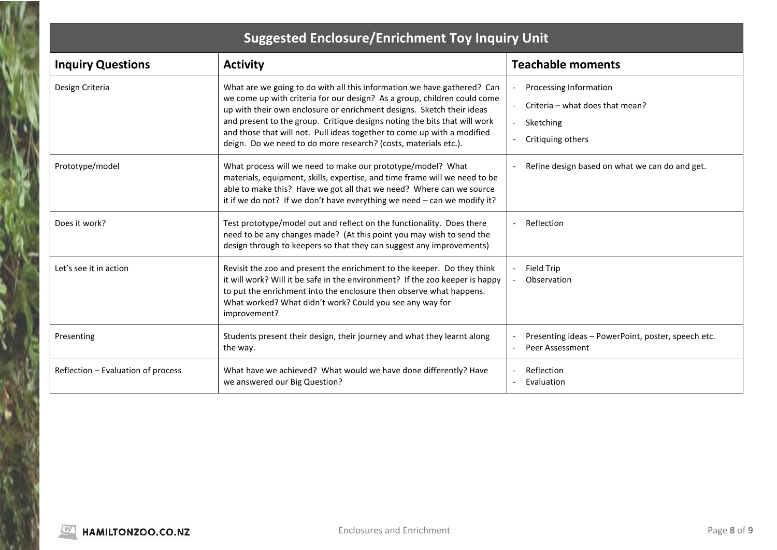| <b>Suggested Enclosure/Enrichment Toy Inquiry Unit</b> |                                                                                                                                                                                                                                                                                                                                                                                                                                                         |                                                                                                                         |  |  |
|--------------------------------------------------------|---------------------------------------------------------------------------------------------------------------------------------------------------------------------------------------------------------------------------------------------------------------------------------------------------------------------------------------------------------------------------------------------------------------------------------------------------------|-------------------------------------------------------------------------------------------------------------------------|--|--|
| <b>Inquiry Questions</b>                               | <b>Activity</b>                                                                                                                                                                                                                                                                                                                                                                                                                                         | <b>Teachable moments</b>                                                                                                |  |  |
| Design Criteria                                        | What are we going to do with all this information we have gathered? Can<br>we come up with criteria for our design? As a group, children could come<br>up with their own enclosure or enrichment designs. Sketch their ideas<br>and present to the group. Critique designs noting the bits that will work<br>and those that will not. Pull ideas together to come up with a modified<br>deign. Do we need to do more research? (costs, materials etc.). | Processing Information<br>Criteria - what does that mean?<br>Sketching<br>$\overline{\phantom{a}}$<br>Critiquing others |  |  |
| Prototype/model                                        | What process will we need to make our prototype/model? What<br>materials, equipment, skills, expertise, and time frame will we need to be<br>able to make this? Have we got all that we need? Where can we source<br>it if we do not? If we don't have everything we need $-$ can we modify it?                                                                                                                                                         | Refine design based on what we can do and get.                                                                          |  |  |
| Does it work?                                          | Test prototype/model out and reflect on the functionality. Does there<br>need to be any changes made? (At this point you may wish to send the<br>design through to keepers so that they can suggest any improvements)                                                                                                                                                                                                                                   | Reflection                                                                                                              |  |  |
| Let's see it in action                                 | Revisit the zoo and present the enrichment to the keeper. Do they think<br>it will work? Will it be safe in the environment? If the zoo keeper is happy<br>to put the enrichment into the enclosure then observe what happens.<br>What worked? What didn't work? Could you see any way for<br>improvement?                                                                                                                                              | Field Trip<br>Observation                                                                                               |  |  |
| Presenting                                             | Students present their design, their journey and what they learnt along<br>the way.                                                                                                                                                                                                                                                                                                                                                                     | Presenting ideas - PowerPoint, poster, speech etc.<br>Peer Assessment                                                   |  |  |
| Reflection - Evaluation of process                     | What have we achieved? What would we have done differently? Have<br>we answered our Big Question?                                                                                                                                                                                                                                                                                                                                                       | Reflection<br>Evaluation                                                                                                |  |  |

ľ١